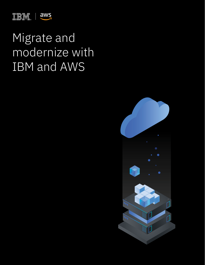

## Migrate and modernize with IBM and AWS

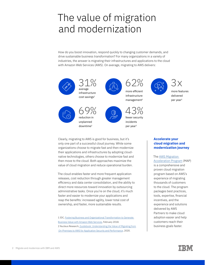### The value of migration and modernization

How do you boost innovation, respond quickly to changing customer demands, and drive sustainable business transformation? For many organizations in a variety of industries, the answer is migrating their infrastructures and applications to the cloud with Amazon Web Services (AWS). On average, migrating to AWS delivers:



Clearly, migrating to AWS is good for business, but it's only one part of a successful cloud journey. While some organizations choose to migrate fast and then modernize their applications and infrastructures by adopting cloudnative technologies, others choose to modernize fast and then move to the cloud. Both approaches maximize the value of cloud migration and reduce operational burden.

The cloud enables faster and more frequent application releases, cost reduction through greater management efficiency and data center consolidation, and the ability to direct more resources toward innovation by outsourcing administrative tasks. Once you're on the cloud, it's much faster and easier to modernize your applications and reap the benefits: increased agility, lower total cost of ownership, and faster, more sustainable results.

1 IDC, [Fostering Business and Organizational Transformation to Generate](https://pages.awscloud.com/rs/112-TZM-766/images/AWS-BV%20IDC%202018.pdf)  [Business Value with Amazon Web Services,](https://pages.awscloud.com/rs/112-TZM-766/images/AWS-BV%20IDC%202018.pdf) February 2018. 2 Nucleus Research, [Guidebook: Understanding the Value of Migrating from](https://pages.awscloud.com/rs/112-TZM-766/images/the-value-of-improved-availability-security-and-performance.pdf)  [On-Premises to AWS for Application Security and Performance](https://pages.awscloud.com/rs/112-TZM-766/images/the-value-of-improved-availability-security-and-performance.pdf), 2020.

#### **Accelerate your cloud migration and modernization journey**

#### The [AWS Migration](https://aws.amazon.com/migration-acceleration-program/)  [Acceleration Program](https://aws.amazon.com/migration-acceleration-program/) (MAP)

is a comprehensive and proven cloud migration program based on AWS's experience of migrating thousands of customers to the cloud. The program packages best practices, tools, expertise, financial incentives, and the experience and solutions delivered by AWS Partners to make cloud adoption easier and help customers reach their business goals faster.

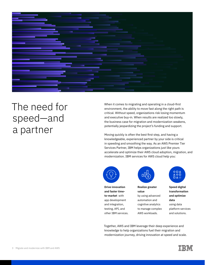

## The need for speed—and a partner

When it comes to migrating and operating in a cloud-first environment, the ability to move fast along the right path is critical. Without speed, organizations risk losing momentum and executive buy-in. When results are realized too slowly, the business case for migration and modernization weakens, potentially jeopardizing the project's funding and support.

Moving quickly is often the best first step, and having a knowledgeable, experienced partner by your side is critical in speeding and smoothing the way. As an AWS Premier Tier Services Partner, IBM helps organizations just like yours accelerate and optimize their AWS cloud adoption, migration, and modernization. IBM services for AWS cloud help you:



**Drive innovation and faster timeto-market** with app development and integration, testing, API, and other IBM services.



**Realize greater value**  by using advanced automation and cognitive analytics to manage complex AWS workloads.



**Speed digital transformation and optimize data**  using data platform services and solutions.

Together, AWS and IBM leverage their deep experience and knowledge to help organizations fuel their migration and modernization journey, driving innovation at speed and scale.

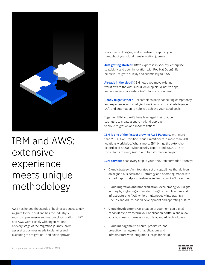

## IBM and AWS: extensive experience meets unique methodology

AWS has helped thousands of businesses successfully migrate to the cloud and has the industry's most comprehensive and mature cloud platform. IBM and AWS work closely with organizations at every stage of the migration journey—from assessing business needs to planning and executing the migration—and deliver proven

tools, methodologies, and expertise to support you throughout your cloud transformation journey.

**Just getting started?** IBM's expertise in security, enterprise scalability, and open innovation with Red Hat OpenShift helps you migrate quickly and seamlessly to AWS.

**Already in the cloud?** IBM helps you move existing workflows to the AWS Cloud, develop cloud-native apps, and optimize your existing AWS cloud environment.

**Ready to go further?** IBM combines deep consulting competency and experience with intelligent workflows, artificial intelligence (AI), and automation to help you achieve your cloud goals.

Together, IBM and AWS have leveraged their unique strengths to create a one-of-a-kind approach to cloud migration and modernization:

**IBM is one of the fastest growing AWS Partners**, with more than 7,000 AWS Certified Cloud Practitioners in more than 200 locations worldwide. What's more, IBM brings the extensive expertise of 8,000+ cybersecurity experts and 38,000+ SAP consultants to every AWS cloud transformation project.

**IBM services** span every step of your AWS transformation journey:

- **• Cloud strategy:** An integrated set of capabilities that delivers an aligned business and IT strategy and operating model with a roadmap to help you realize value from your AWS investment.
- **• Cloud migration and modernization:** Accelerating your digital journey by migrating and modernizing both applications and infrastructure to AWS while simultaneously integrating a DevOps and AIOps-based development and operating culture.
- **• Cloud development:** Co-creation of your next gen digital capabilities to transform your application portfolio and allow your business to harness cloud, data, and AI technologies.
- **• Cloud management:** Secure, predictive, and proactive management of applications and infrastructure with integrated FinOps for cloud.

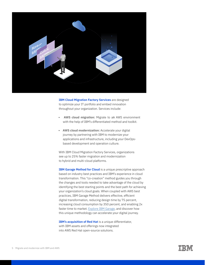

**IBM Cloud Migration Factory Services** are designed to optimize your IT portfolio and embed innovation throughout your organization. Services include:

- **AWS cloud migration:** Migrate to an AWS environment with the help of IBM's differentiated method and toolkit.
- **• AWS cloud modernization:** Accelerate your digital journey by partnering with IBM to modernize your applications and infrastructure, including your DevOpsbased development and operation culture.

With IBM Cloud Migration Factory Services, organizations see up to 25% faster migration and modernization to hybrid and multi-cloud platforms.

**IBM Garage Method for Cloud** is a unique prescriptive approach based on industry best practices and IBM's experience in cloud transformation. This "co-creation" method guides you through the changes and tools needed to take advantage of the cloud by identifying the best starting points and the best path for achieving your organization's cloud goals. When coupled with AWS best practices, IBM Garage Method delivers effective, efficient digital transformation, reducing design time by 75 percent, increasing cloud consumption by 350 percent, and enabling 2x faster time to market. [Explore IBM Garage,](https://www.ibm.com/account/reg/us-en/signup?formid=urx-38886) and discover how this unique methodology can accelerate your digital journey.

**IBM's acquisition of Red Hat** is a unique differentiator, with IBM assets and offerings now integrated into AWS Red Hat open-source solutions.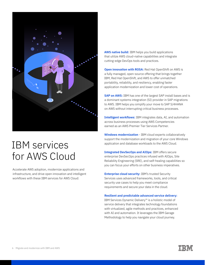

### IBM services for AWS Cloud

Accelerate AWS adoption, modernize applications and infrastructure, and drive open innovation and intelligent workflows with these IBM services for AWS Cloud:

**AWS native build:** IBM helps you build applications that utilize AWS cloud-native capabilities and integrate cutting-edge DevOps tools and practices.

**Open innovation with ROSA: Red Hat OpenShift on AWS is** a fully managed, open-source offering that brings together IBM, Red Hat OpenShift, and AWS to offer unmatched portability, reliability, and resiliency, enabling faster application modernization and lower cost of operations.

**SAP on AWS:** IBM has one of the largest SAP install bases and is a dominant systems integration (SI) provider in SAP migrations to AWS. IBM helps you simplify your move to SAP S/4HANA on AWS without interrupting critical business processes.

**Intelligent workflows:** IBM integrates data, AI, and automation across business processes using AWS Competencies earned as an AWS Premier Tier Services Partner.

**Windows modernization** - IBM cloud experts collaboratively support the modernization and migration of your core Windows application and database workloads to the AWS Cloud.

**Integrated DevSecOps and AIOps:** IBM offers secure enterprise DevSecOps practices infused with AIOps, Site Reliability Engineering (SRE), and self-healing capabilities so you can focus your efforts on other business imperatives.

**Enterprise cloud security: IBM's trusted Security** Services uses advanced frameworks, tools, and critical security use cases to help you meet compliance requirements and secure your data in the cloud.

#### **Resilient and predictable advanced service delivery:**

IBM Services Dynamic Delivery™ is a holistic model of service delivery that integrates technology foundations with virtualized, agile methods and practices, enhanced with AI and automation. It leverages the IBM Garage Methodology to help you navigate your cloud journey.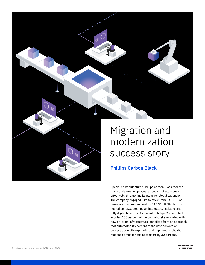

# modernization success story

#### **Phillips Carbon Black**

Specialist manufacturer Phillips Carbon Black realized many of its existing processes could not scale costeffectively, threatening its plans for global expansion. The company engaged IBM to move from SAP ERP onpremises to a next-generation SAP S/4HANA platform hosted on AWS, creating an integrated, scalable, and fully digital business. As a result, Phillips Carbon Black avoided 100 percent of the capital cost associated with new on-prem infrastructure, benefited from an approach that automated 85 percent of the data conversion process during the upgrade, and improved application response times for business users by 30 percent.